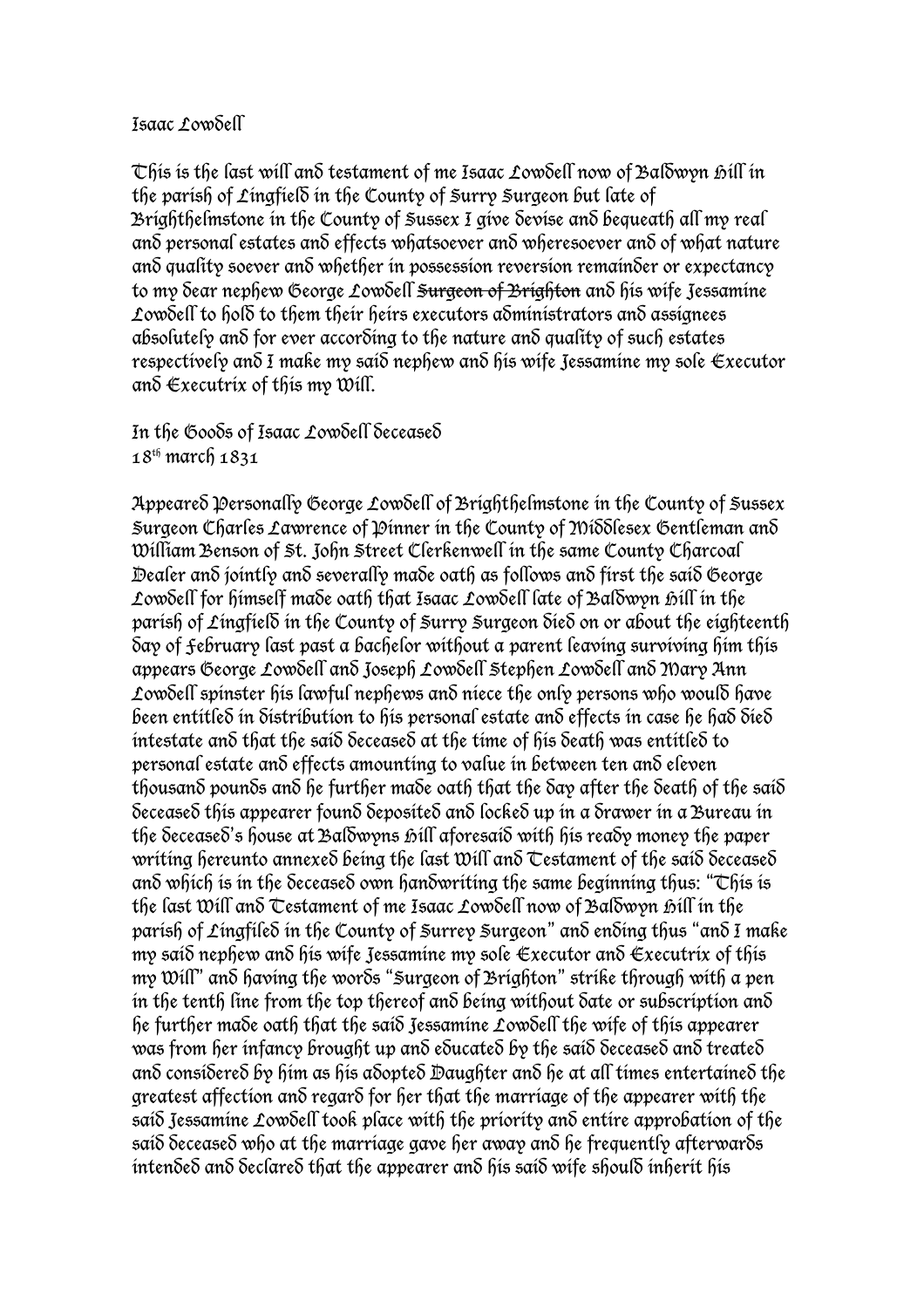## Isaac Lowdell

This is the last will and testament of me Isaac Lowdell now of Baldwyn hill in the parish of Lingfield in the County of Surry Surgeon but late of Brighthelmstone in the County of Sussex I give devise and bequeath all my real and personal estates and effects whatsoever and wheresoever and of what nature and quality soever and whether in possession reversion remainder or expectancy to my dear nephew George Lowdell <del>Surgeon of Brighton</del> and his wife Jessamine Lowdell to hold to them their heirs executors administrators and assignees absolutely and for ever according to the nature and quality of such estates respectively and I make my said nephew and his wife Jessamine my sole Executor and  $\epsilon$ xecutrix of this my Will.

In the Goods of Isaac Lowdell deceased 18th march 1831

Appeared Personally George Lowdell of Brighthelmstone in the County of Sussex Surgeon Charles Lawrence of Dinner in the County of MiSSlesex Gentleman and William Benson of St. John Street Clerkenwell in the same County Charcoal Dealer and jointly and severally made oath as follows and first the said George Lowdell for himself made oath that Isaac Lowdell late of Baldwyn bill in the parish of Lingfield in the County of Surry Surgeon died on or about the eighteenth day of February last past a bachelor without a parent leaving surviving him this appears George Lowdell and Joseph Lowdell Stephen Lowdell and Mary Ann Lowdell spinster his lawful nephews and niece the only persons who would have been entitled in distribution to his personal estate and effects in case he had died intestate and that the said deceased at the time of his death was entitled to personal estate and effects amounting to value in between ten and eleven thousand pounds and he further made oath that the day after the death of the said deceased this appearer found deposited and locked up in a drawer in a Bureau in the deceased's house at Baldwyns hill aforesaid with his ready money the paper writing hereunto annexed being the last Will and Testament of the said deceased and which is in the deceased own handwriting the same beginning thus: "This is the last Will and Testament of me Isaac Lowdell now of Baldwyn hill in the parish of Lingfiled in the County of Surrey Surgeon" and ending thus "and I make my said nephew and his wife Jessamine my sole Executor and Executrix of this my Will" and having the words "Surgeon of Brighton" strike through with a pen in the tenth line from the top thereof and beina without date or subscription and he further made oath that the said Jessamine Lowdell the wife of this appearer was from her infancy brought up and educated by the said deceased and treated and considered by him as his adopted Daughter and he at all times entertained the greatest affection and regard for her that the marriage of the appearer with the said Jessamine Lowdell took place with the priority and entire approbation of the said deceased who at the marriage gave her away and he frequently afterwards intended and declared that the appearer and his said wife should inherit his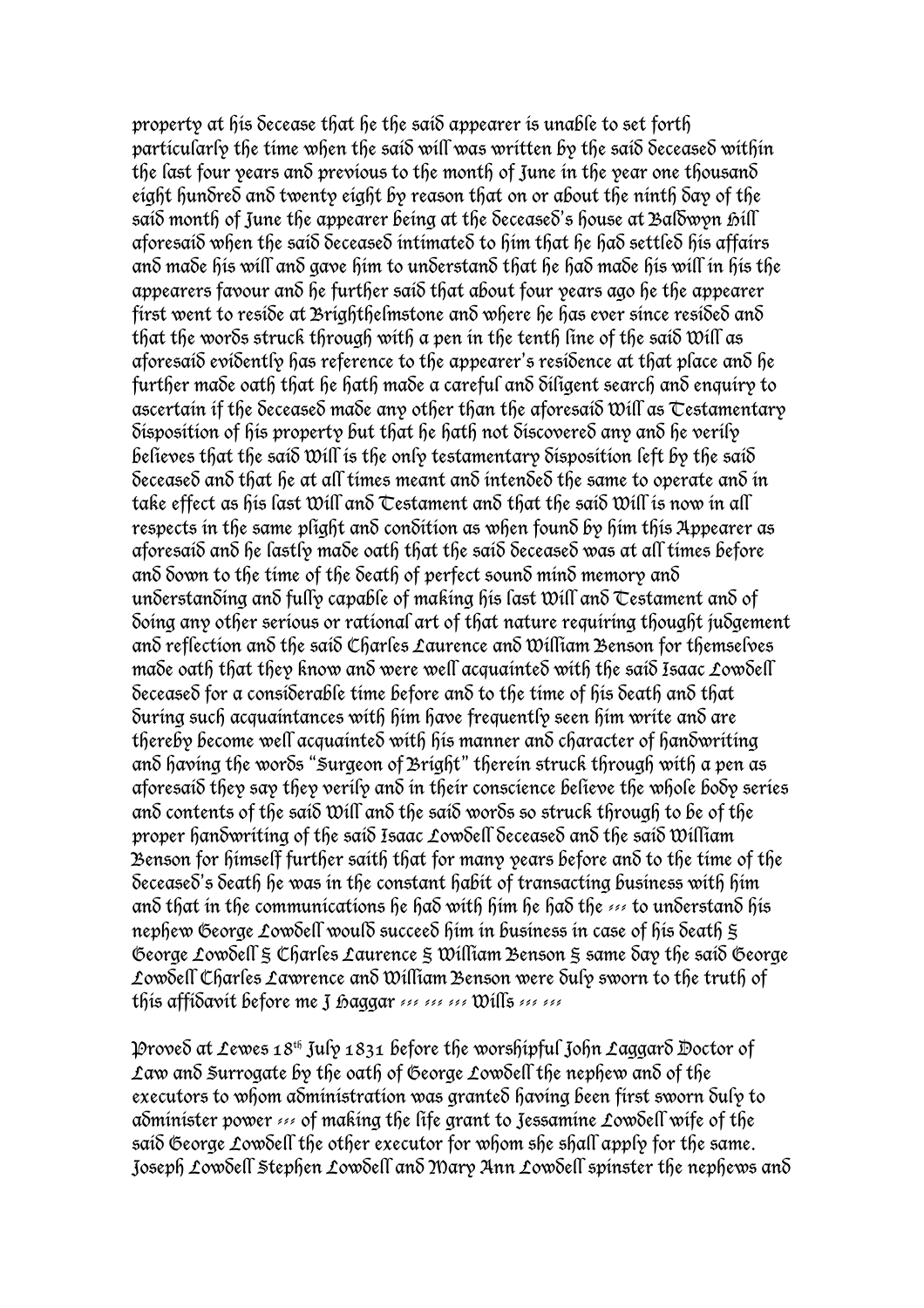property at his decease that he the said appearer is unable to set forth particularly the time when the said will was written by the said deceased within the last four years and previous to the month of June in the year one thousand eight hundred and twenty eight by reason that on or about the ninth day of the said month of June the appearer being at the  $\delta$ eceased's house at Baldwyn  $\delta$ ill aforesaid when the said deceased intimated to him that he had settled his affairs and made his will and gave him to understand that he had made his will in his the appearers favour and he further said that about four years ago he the appearer first went to reside at Brighthelmstone and where he has ever since resided and that the words struck through with a pen in the tenth line of the said Will as aforesaid evidently has reference to the appearer's residence at that place and he further made oath that he hath made a careful and diligent search and enquiry to ascertain if the deceased made any other than the aforesaid Will as Testamentary disposition of his property but that he hath not discovered any and he verily believes that the said Will is the only testamentary disposition left by the said deceased and that he at all times meant and intended the same to operate and in take effect as his last Will and Testament and that the said Will is now in all respects in the same plight and condition as when found by him this Appearer as aforesaid and he lastly made oath that the said deceased was at all times before and down to the time of the death of perfect sound mind memory and understanding and fully capable of making his last Will and Testament and of doing any other serious or rational art of that nature requiring thought judgement and reflection and the said Charles Laurence and William Benson for themselves made oath that they know and were well acquainted with the said Isaac Lowdell deceased for a considerable time before and to the time of his death and that during such acquaintances with him have frequently seen him write and are thereby become well acquainted with his manner and character of handwriting and having the words "Surgeon of Bright" therein struck through with a pen as aforesaid they say they verily and in their conscience believe the whole body series and contents of the said Will and the said words so struck through to be of the proper handwriting of the said Isaac Lowdell deceased and the said William Benson for himself further saith that for many years before and to the time of the deceased's death he was in the constant habit of transacting business with him and that in the communications he had with him he had the --- to understand his nephew George Lowdell would succeed him in business in case of his death  $\pm$ George Lowdell § Charles Laurence § William Benson § same day the said George Lowdell Charles Lawrence and William Benson were duly sworn to the truth of this affidavit before me J haggar 120 121 121 Wills 121 121

Proved at Lewes  $18^{th}$  July  $1831$  before the worshipful John Laggard Doctor of Law and Surrogate by the oath of George Lowdell the nephew and of the executors to whom administration was granted having been first sworn duly to administer power --- of making the life grant to Jessamine Lowdell wife of the said George Lowdell the other executor for whom she shall apply for the same. Joseph Lowdell Stephen Lowdell and Mary Ann Lowdell spinster the nephews and